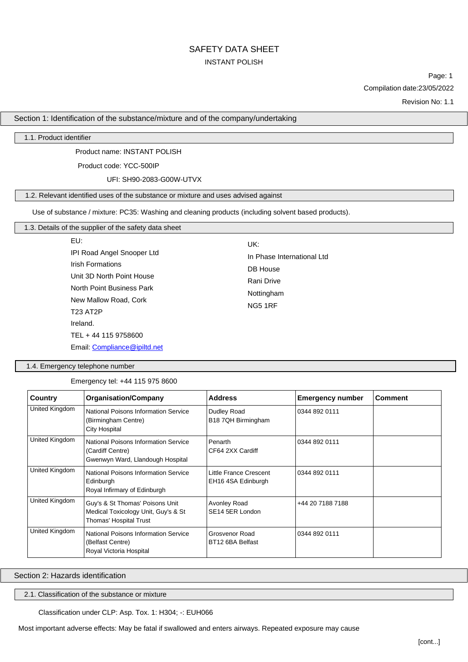# SAFETY DATA SHEET INSTANT POLISH

Page: 1 Compilation date:23/05/2022

Revision No: 1.1

Section 1: Identification of the substance/mixture and of the company/undertaking

## 1.1. Product identifier

Product name: INSTANT POLISH

Product code: YCC-500IP

UFI: SH90-2083-G00W-UTVX

# 1.2. Relevant identified uses of the substance or mixture and uses advised against

Use of substance / mixture: PC35: Washing and cleaning products (including solvent based products).

## 1.3. Details of the supplier of the safety data sheet

EU: IPI Road Angel Snooper Ltd Irish Formations Unit 3D North Point House North Point Business Park New Mallow Road, Cork T23 AT2P Ireland. TEL + 44 115 9758600 Email: [Compliance@ipiltd.net](mailto:Compliance@ipiltd.net)

In Phase International Ltd DB House Rani Drive Nottingham NG5 1RF

UK:

### 1.4. Emergency telephone number

Emergency tel: +44 115 975 8600

| Country        | <b>Organisation/Company</b>                                                                         | <b>Address</b>                                      | <b>Emergency number</b> | <b>Comment</b> |
|----------------|-----------------------------------------------------------------------------------------------------|-----------------------------------------------------|-------------------------|----------------|
| United Kingdom | National Poisons Information Service<br>(Birmingham Centre)<br><b>City Hospital</b>                 | Dudley Road<br>B18 7QH Birmingham                   | 0344 892 0111           |                |
| United Kingdom | <b>National Poisons Information Service</b><br>(Cardiff Centre)<br>Gwenwyn Ward, Llandough Hospital | Penarth<br>CF64 2XX Cardiff                         | 0344 892 0111           |                |
| United Kingdom | National Poisons Information Service<br>Edinburgh<br>Royal Infirmary of Edinburgh                   | <b>Little France Crescent</b><br>EH16 4SA Edinburgh | 0344 892 0111           |                |
| United Kingdom | Guy's & St Thomas' Poisons Unit<br>Medical Toxicology Unit, Guy's & St<br>Thomas' Hospital Trust    | Avonley Road<br>SE14 5ER London                     | +44 20 7188 7188        |                |
| United Kingdom | <b>National Poisons Information Service</b><br>(Belfast Centre)<br>Royal Victoria Hospital          | Grosvenor Road<br>BT12 6BA Belfast                  | 0344 892 0111           |                |

Section 2: Hazards identification

2.1. Classification of the substance or mixture

Classification under CLP: Asp. Tox. 1: H304; -: EUH066

Most important adverse effects: May be fatal if swallowed and enters airways. Repeated exposure may cause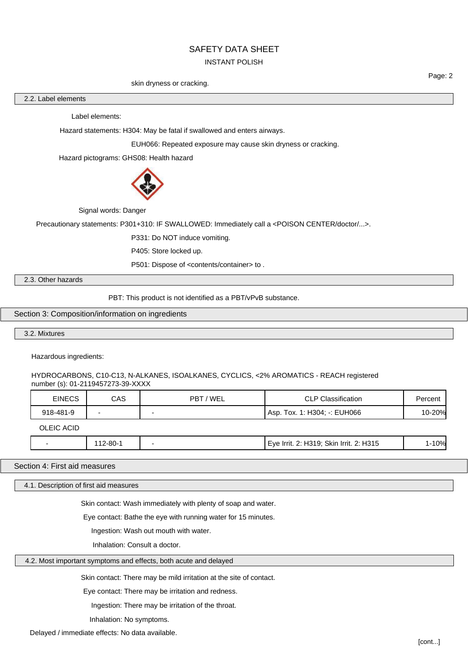#### INSTANT POLISH

#### skin dryness or cracking.

2.2. Label elements

Label elements:

Hazard statements: H304: May be fatal if swallowed and enters airways.

EUH066: Repeated exposure may cause skin dryness or cracking.

Hazard pictograms: GHS08: Health hazard



Signal words: Danger

Precautionary statements: P301+310: IF SWALLOWED: Immediately call a <POISON CENTER/doctor/...>.

P331: Do NOT induce vomiting.

P405: Store locked up.

P501: Dispose of <contents/container> to.

2.3. Other hazards

PBT: This product is not identified as a PBT/vPvB substance.

Section 3: Composition/information on ingredients

3.2. Mixtures

Hazardous ingredients:

HYDROCARBONS, C10-C13, N-ALKANES, ISOALKANES, CYCLICS, <2% AROMATICS - REACH registered number (s): 01-2119457273-39-XXXX

| <b>EINECS</b> | CAS      | PBT / WEL | <b>CLP Classification</b>               | Percent |
|---------------|----------|-----------|-----------------------------------------|---------|
| 918-481-9     |          |           | Asp. Tox. 1: H304: -: EUH066            | 10-20%  |
| OLEIC ACID    |          |           |                                         |         |
| -             | 112-80-1 |           | Eye Irrit. 2: H319; Skin Irrit. 2: H315 | 1-10%   |

Section 4: First aid measures

4.1. Description of first aid measures

Skin contact: Wash immediately with plenty of soap and water.

Eye contact: Bathe the eye with running water for 15 minutes.

Ingestion: Wash out mouth with water.

Inhalation: Consult a doctor.

4.2. Most important symptoms and effects, both acute and delayed

Skin contact: There may be mild irritation at the site of contact.

Eye contact: There may be irritation and redness.

Ingestion: There may be irritation of the throat.

Inhalation: No symptoms.

Delayed / immediate effects: No data available.

[cont...]

Page: 2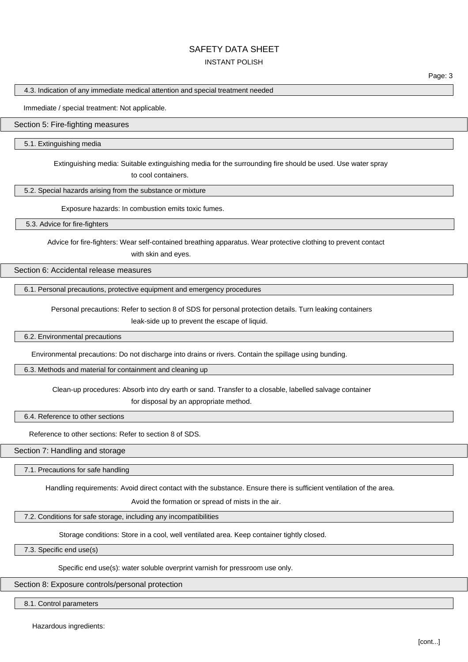## INSTANT POLISH

Page: 3

4.3. Indication of any immediate medical attention and special treatment needed

Immediate / special treatment: Not applicable.

#### Section 5: Fire-fighting measures

5.1. Extinguishing media

Extinguishing media: Suitable extinguishing media for the surrounding fire should be used. Use water spray to cool containers.

5.2. Special hazards arising from the substance or mixture

Exposure hazards: In combustion emits toxic fumes.

5.3. Advice for fire-fighters

Advice for fire-fighters: Wear self-contained breathing apparatus. Wear protective clothing to prevent contact with skin and eyes.

Section 6: Accidental release measures

6.1. Personal precautions, protective equipment and emergency procedures

Personal precautions: Refer to section 8 of SDS for personal protection details. Turn leaking containers

leak-side up to prevent the escape of liquid.

6.2. Environmental precautions

Environmental precautions: Do not discharge into drains or rivers. Contain the spillage using bunding.

6.3. Methods and material for containment and cleaning up

Clean-up procedures: Absorb into dry earth or sand. Transfer to a closable, labelled salvage container for disposal by an appropriate method.

6.4. Reference to other sections

Reference to other sections: Refer to section 8 of SDS.

Section 7: Handling and storage

7.1. Precautions for safe handling

Handling requirements: Avoid direct contact with the substance. Ensure there is sufficient ventilation of the area.

Avoid the formation or spread of mists in the air.

7.2. Conditions for safe storage, including any incompatibilities

Storage conditions: Store in a cool, well ventilated area. Keep container tightly closed.

7.3. Specific end use(s)

Specific end use(s): water soluble overprint varnish for pressroom use only.

Section 8: Exposure controls/personal protection

8.1. Control parameters

Hazardous ingredients: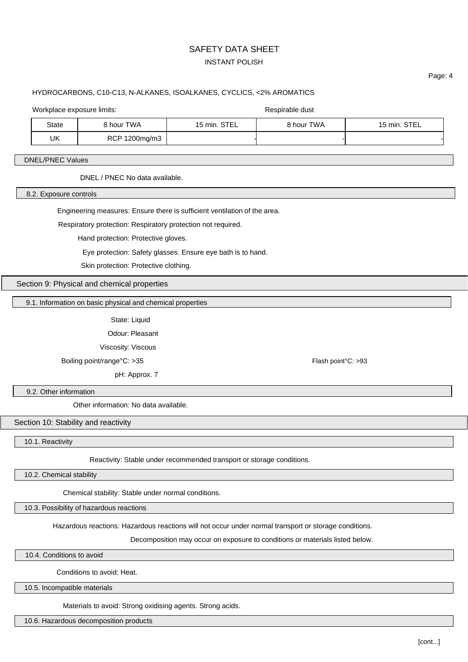# SAFETY DATA SHEET INSTANT POLISH

# Page: 4

# HYDROCARBONS, C10-C13, N-ALKANES, ISOALKANES, CYCLICS, <2% AROMATICS

## Workplace exposure limits:  $\blacksquare$

State 8 hour TWA 15 min. STEL 8 hour TWA 15 min. STEL  $UK$  RCP 1200mg/m3

## DNEL/PNEC Values

DNEL / PNEC No data available.

8.2. Exposure controls

Engineering measures: Ensure there is sufficient ventilation of the area.

Respiratory protection: Respiratory protection not required.

Hand protection: Protective gloves.

Eye protection: Safety glasses. Ensure eye bath is to hand.

Skin protection: Protective clothing.

Section 9: Physical and chemical properties

9.1. Information on basic physical and chemical properties

State: Liquid

Odour: Pleasant

Viscosity: Viscous

Boiling point/range°C: >35 Flash point/range°C: >35

pH: Approx. 7

9.2. Other information

Other information: No data available.

Section 10: Stability and reactivity

10.1. Reactivity

Reactivity: Stable under recommended transport or storage conditions.

10.2. Chemical stability

Chemical stability: Stable under normal conditions.

10.3. Possibility of hazardous reactions

Hazardous reactions: Hazardous reactions will not occur under normal transport or storage conditions.

Decomposition may occur on exposure to conditions or materials listed below.

10.4. Conditions to avoid

Conditions to avoid: Heat.

10.5. Incompatible materials

Materials to avoid: Strong oxidising agents. Strong acids.

10.6. Hazardous decomposition products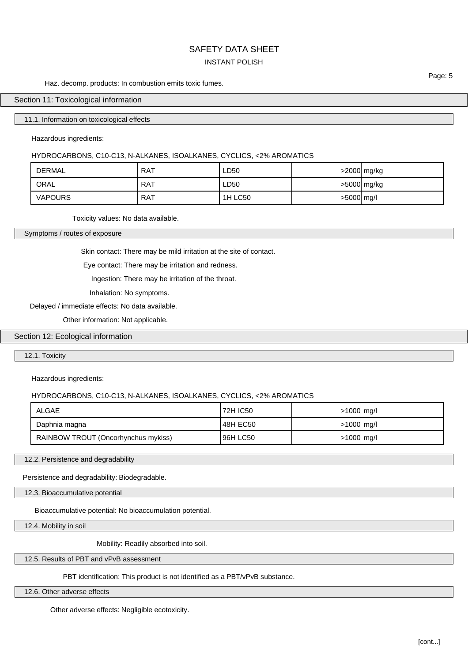## INSTANT POLISH

#### Haz. decomp. products: In combustion emits toxic fumes.

## Section 11: Toxicological information

#### 11.1. Information on toxicological effects

Hazardous ingredients:

## HYDROCARBONS, C10-C13, N-ALKANES, ISOALKANES, CYCLICS, <2% AROMATICS

| DERMAL         | <b>RAT</b> | ∟D50    |            | >2000 mg/kg |
|----------------|------------|---------|------------|-------------|
| ORAL           | <b>RAT</b> | ∟D50    |            | >5000 mg/kg |
| <b>VAPOURS</b> | RAT        | 1H LC50 | >5000 mg/l |             |

Toxicity values: No data available.

Symptoms / routes of exposure

Skin contact: There may be mild irritation at the site of contact.

Eye contact: There may be irritation and redness.

Ingestion: There may be irritation of the throat.

Inhalation: No symptoms.

#### Delayed / immediate effects: No data available.

Other information: Not applicable.

## Section 12: Ecological information

12.1. Toxicity

### Hazardous ingredients:

### HYDROCARBONS, C10-C13, N-ALKANES, ISOALKANES, CYCLICS, <2% AROMATICS

| <b>ALGAE</b>                        | 72H IC50 | $>1000$ mg/l |  |
|-------------------------------------|----------|--------------|--|
| Daphnia magna                       | 48H EC50 | $>1000$ mg/l |  |
| RAINBOW TROUT (Oncorhynchus mykiss) | 96H LC50 | $>1000$ mg/l |  |

12.2. Persistence and degradability

Persistence and degradability: Biodegradable.

12.3. Bioaccumulative potential

Bioaccumulative potential: No bioaccumulation potential.

12.4. Mobility in soil

Mobility: Readily absorbed into soil.

### 12.5. Results of PBT and vPvB assessment

PBT identification: This product is not identified as a PBT/vPvB substance.

12.6. Other adverse effects

Other adverse effects: Negligible ecotoxicity.

Page: 5